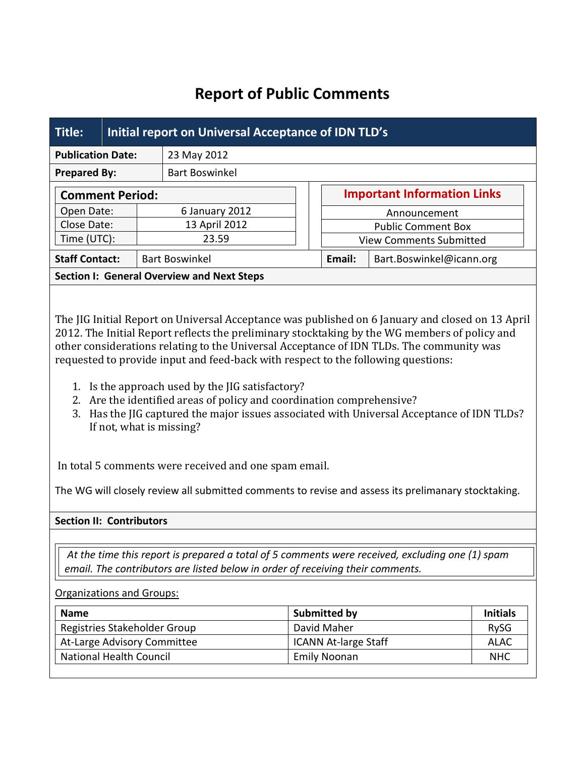# **Report of Public Comments**

| Title:                    |                                                   | Initial report on Universal Acceptance of IDN TLD's |               |                       |                                           |                                    |  |  |  |  |
|---------------------------|---------------------------------------------------|-----------------------------------------------------|---------------|-----------------------|-------------------------------------------|------------------------------------|--|--|--|--|
| <b>Publication Date:</b>  |                                                   |                                                     |               | 23 May 2012           |                                           |                                    |  |  |  |  |
| <b>Prepared By:</b>       |                                                   |                                                     |               | <b>Bart Boswinkel</b> |                                           |                                    |  |  |  |  |
|                           | <b>Comment Period:</b>                            |                                                     |               |                       |                                           | <b>Important Information Links</b> |  |  |  |  |
| Open Date:<br>Close Date: |                                                   | 6 January 2012                                      |               |                       | Announcement<br><b>Public Comment Box</b> |                                    |  |  |  |  |
|                           |                                                   |                                                     | 13 April 2012 |                       |                                           |                                    |  |  |  |  |
|                           | Time (UTC):                                       |                                                     |               | 23.59                 |                                           | <b>View Comments Submitted</b>     |  |  |  |  |
| <b>Staff Contact:</b>     |                                                   | <b>Bart Boswinkel</b>                               |               | Email:                | Bart.Boswinkel@icann.org                  |                                    |  |  |  |  |
|                           | <b>Section I: General Overview and Next Steps</b> |                                                     |               |                       |                                           |                                    |  |  |  |  |

The JIG Initial Report on Universal Acceptance was published on 6 January and closed on 13 April 2012. The Initial Report reflects the preliminary stocktaking by the WG members of policy and other considerations relating to the Universal Acceptance of IDN TLDs. The community was requested to provide input and feed-back with respect to the following questions:

- 1. Is the approach used by the JIG satisfactory?
- 2. Are the identified areas of policy and coordination comprehensive?
- 3. Has the JIG captured the major issues associated with Universal Acceptance of IDN TLDs? If not, what is missing?

In total 5 comments were received and one spam email.

The WG will closely review all submitted comments to revise and assess its prelimanary stocktaking.

## **Section II: Contributors**

*At the time this report is prepared a total of 5 comments were received, excluding one (1) spam email. The contributors are listed below in order of receiving their comments.*

#### Organizations and Groups:

| <b>Name</b>                  | Submitted by                | <b>Initials</b> |
|------------------------------|-----------------------------|-----------------|
| Registries Stakeholder Group | David Maher                 | <b>RySG</b>     |
| At-Large Advisory Committee  | <b>ICANN At-large Staff</b> | ALAC            |
| National Health Council      | <b>Emily Noonan</b>         |                 |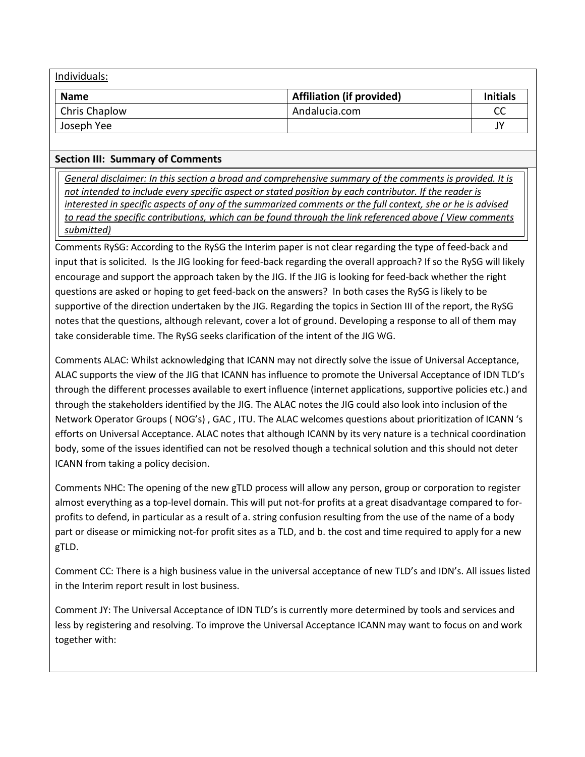| Individuals:  |                                  |                 |  |  |  |  |  |
|---------------|----------------------------------|-----------------|--|--|--|--|--|
| Name          | <b>Affiliation (if provided)</b> | <b>Initials</b> |  |  |  |  |  |
| Chris Chaplow | Andalucia.com                    | CС              |  |  |  |  |  |
| Joseph Yee    |                                  | ı٧              |  |  |  |  |  |

### **Section III: Summary of Comments**

*General disclaimer: In this section a broad and comprehensive summary of the comments is provided. It is not intended to include every specific aspect or stated position by each contributor. If the reader is interested in specific aspects of any of the summarized comments or the full context, she or he is advised to read the specific contributions, which can be found through the link referenced above ( View comments submitted)*

Comments RySG: According to the RySG the Interim paper is not clear regarding the type of feed-back and input that is solicited. Is the JIG looking for feed-back regarding the overall approach? If so the RySG will likely encourage and support the approach taken by the JIG. If the JIG is looking for feed-back whether the right questions are asked or hoping to get feed-back on the answers? In both cases the RySG is likely to be supportive of the direction undertaken by the JIG. Regarding the topics in Section III of the report, the RySG notes that the questions, although relevant, cover a lot of ground. Developing a response to all of them may take considerable time. The RySG seeks clarification of the intent of the JIG WG.

Comments ALAC: Whilst acknowledging that ICANN may not directly solve the issue of Universal Acceptance, ALAC supports the view of the JIG that ICANN has influence to promote the Universal Acceptance of IDN TLD's through the different processes available to exert influence (internet applications, supportive policies etc.) and through the stakeholders identified by the JIG. The ALAC notes the JIG could also look into inclusion of the Network Operator Groups ( NOG's) , GAC , ITU. The ALAC welcomes questions about prioritization of ICANN 's efforts on Universal Acceptance. ALAC notes that although ICANN by its very nature is a technical coordination body, some of the issues identified can not be resolved though a technical solution and this should not deter ICANN from taking a policy decision.

Comments NHC: The opening of the new gTLD process will allow any person, group or corporation to register almost everything as a top-level domain. This will put not-for profits at a great disadvantage compared to forprofits to defend, in particular as a result of a. string confusion resulting from the use of the name of a body part or disease or mimicking not-for profit sites as a TLD, and b. the cost and time required to apply for a new gTLD.

Comment CC: There is a high business value in the universal acceptance of new TLD's and IDN's. All issues listed in the Interim report result in lost business.

Comment JY: The Universal Acceptance of IDN TLD's is currently more determined by tools and services and less by registering and resolving. To improve the Universal Acceptance ICANN may want to focus on and work together with: